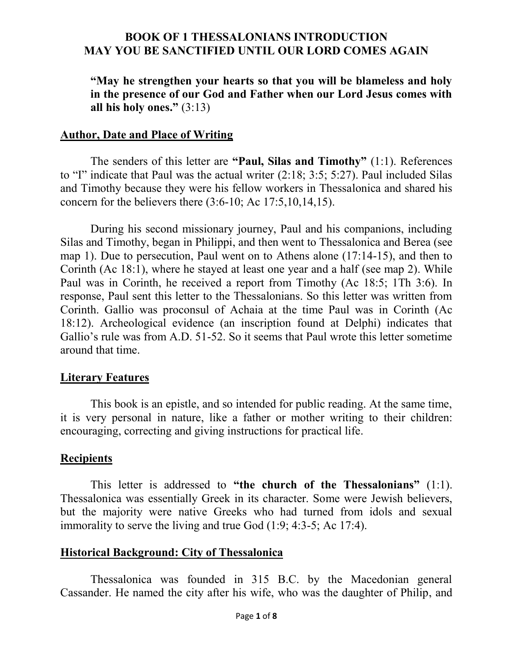**"May he strengthen your hearts so that you will be blameless and holy in the presence of our God and Father when our Lord Jesus comes with all his holy ones."** (3:13)

#### **Author, Date and Place of Writing**

The senders of this letter are **"Paul, Silas and Timothy"** (1:1). References to "I" indicate that Paul was the actual writer (2:18; 3:5; 5:27). Paul included Silas and Timothy because they were his fellow workers in Thessalonica and shared his concern for the believers there  $(3:6-10;$  Ac  $17:5,10,14,15)$ .

During his second missionary journey, Paul and his companions, including Silas and Timothy, began in Philippi, and then went to Thessalonica and Berea (see map 1). Due to persecution, Paul went on to Athens alone (17:14-15), and then to Corinth (Ac 18:1), where he stayed at least one year and a half (see map 2). While Paul was in Corinth, he received a report from Timothy (Ac 18:5; 1Th 3:6). In response, Paul sent this letter to the Thessalonians. So this letter was written from Corinth. Gallio was proconsul of Achaia at the time Paul was in Corinth (Ac 18:12). Archeological evidence (an inscription found at Delphi) indicates that Gallio's rule was from A.D. 51-52. So it seems that Paul wrote this letter sometime around that time.

#### **Literary Features**

This book is an epistle, and so intended for public reading. At the same time, it is very personal in nature, like a father or mother writing to their children: encouraging, correcting and giving instructions for practical life.

#### **Recipients**

This letter is addressed to **"the church of the Thessalonians"** (1:1). Thessalonica was essentially Greek in its character. Some were Jewish believers, but the majority were native Greeks who had turned from idols and sexual immorality to serve the living and true God (1:9; 4:3-5; Ac 17:4).

#### **Historical Background: City of Thessalonica**

Thessalonica was founded in 315 B.C. by the Macedonian general Cassander. He named the city after his wife, who was the daughter of Philip, and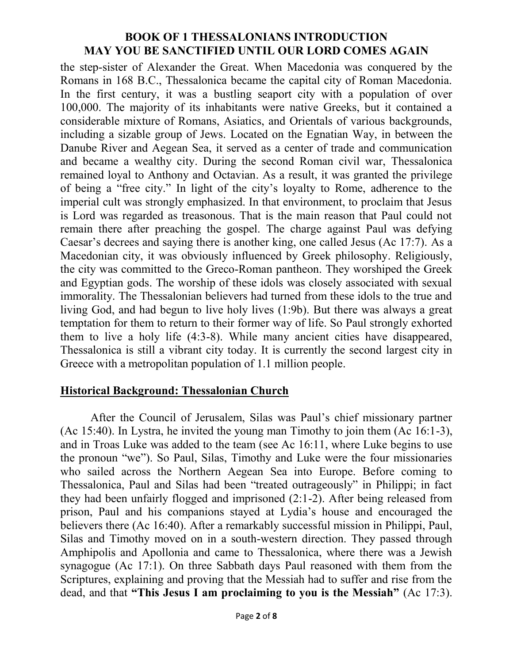the step-sister of Alexander the Great. When Macedonia was conquered by the Romans in 168 B.C., Thessalonica became the capital city of Roman Macedonia. In the first century, it was a bustling seaport city with a population of over 100,000. The majority of its inhabitants were native Greeks, but it contained a considerable mixture of Romans, Asiatics, and Orientals of various backgrounds, including a sizable group of Jews. Located on the Egnatian Way, in between the Danube River and Aegean Sea, it served as a center of trade and communication and became a wealthy city. During the second Roman civil war, Thessalonica remained loyal to Anthony and Octavian. As a result, it was granted the privilege of being a "free city." In light of the city's loyalty to Rome, adherence to the imperial cult was strongly emphasized. In that environment, to proclaim that Jesus is Lord was regarded as treasonous. That is the main reason that Paul could not remain there after preaching the gospel. The charge against Paul was defying Caesar's decrees and saying there is another king, one called Jesus (Ac 17:7). As a Macedonian city, it was obviously influenced by Greek philosophy. Religiously, the city was committed to the Greco-Roman pantheon. They worshiped the Greek and Egyptian gods. The worship of these idols was closely associated with sexual immorality. The Thessalonian believers had turned from these idols to the true and living God, and had begun to live holy lives (1:9b). But there was always a great temptation for them to return to their former way of life. So Paul strongly exhorted them to live a holy life (4:3-8). While many ancient cities have disappeared, Thessalonica is still a vibrant city today. It is currently the second largest city in Greece with a metropolitan population of 1.1 million people.

#### **Historical Background: Thessalonian Church**

After the Council of Jerusalem, Silas was Paul's chief missionary partner (Ac 15:40). In Lystra, he invited the young man Timothy to join them (Ac 16:1-3), and in Troas Luke was added to the team (see Ac 16:11, where Luke begins to use the pronoun "we"). So Paul, Silas, Timothy and Luke were the four missionaries who sailed across the Northern Aegean Sea into Europe. Before coming to Thessalonica, Paul and Silas had been "treated outrageously" in Philippi; in fact they had been unfairly flogged and imprisoned (2:1-2). After being released from prison, Paul and his companions stayed at Lydia's house and encouraged the believers there (Ac 16:40). After a remarkably successful mission in Philippi, Paul, Silas and Timothy moved on in a south-western direction. They passed through Amphipolis and Apollonia and came to Thessalonica, where there was a Jewish synagogue (Ac 17:1). On three Sabbath days Paul reasoned with them from the Scriptures, explaining and proving that the Messiah had to suffer and rise from the dead, and that **"This Jesus I am proclaiming to you is the Messiah"** (Ac 17:3).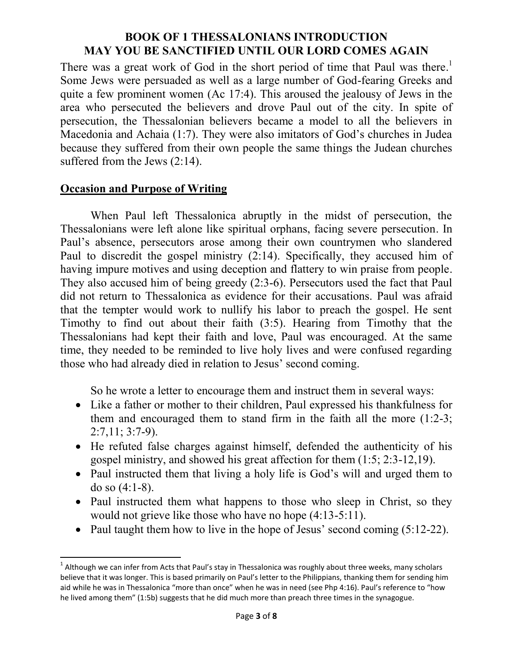There was a great work of God in the short period of time that Paul was there.<sup>1</sup> Some Jews were persuaded as well as a large number of God-fearing Greeks and quite a few prominent women (Ac 17:4). This aroused the jealousy of Jews in the area who persecuted the believers and drove Paul out of the city. In spite of persecution, the Thessalonian believers became a model to all the believers in Macedonia and Achaia (1:7). They were also imitators of God's churches in Judea because they suffered from their own people the same things the Judean churches suffered from the Jews (2:14).

# **Occasion and Purpose of Writing**

 $\overline{a}$ 

When Paul left Thessalonica abruptly in the midst of persecution, the Thessalonians were left alone like spiritual orphans, facing severe persecution. In Paul's absence, persecutors arose among their own countrymen who slandered Paul to discredit the gospel ministry (2:14). Specifically, they accused him of having impure motives and using deception and flattery to win praise from people. They also accused him of being greedy (2:3-6). Persecutors used the fact that Paul did not return to Thessalonica as evidence for their accusations. Paul was afraid that the tempter would work to nullify his labor to preach the gospel. He sent Timothy to find out about their faith (3:5). Hearing from Timothy that the Thessalonians had kept their faith and love, Paul was encouraged. At the same time, they needed to be reminded to live holy lives and were confused regarding those who had already died in relation to Jesus' second coming.

So he wrote a letter to encourage them and instruct them in several ways:

- Like a father or mother to their children, Paul expressed his thankfulness for them and encouraged them to stand firm in the faith all the more (1:2-3; 2:7,11; 3:7-9).
- He refuted false charges against himself, defended the authenticity of his gospel ministry, and showed his great affection for them (1:5; 2:3-12,19).
- Paul instructed them that living a holy life is God's will and urged them to do so (4:1-8).
- Paul instructed them what happens to those who sleep in Christ, so they would not grieve like those who have no hope (4:13-5:11).
- Paul taught them how to live in the hope of Jesus' second coming  $(5:12-22)$ .

 $^1$  Although we can infer from Acts that Paul's stay in Thessalonica was roughly about three weeks, many scholars believe that it was longer. This is based primarily on Paul's letter to the Philippians, thanking them for sending him aid while he was in Thessalonica "more than once" when he was in need (see Php 4:16). Paul's reference to "how he lived among them" (1:5b) suggests that he did much more than preach three times in the synagogue.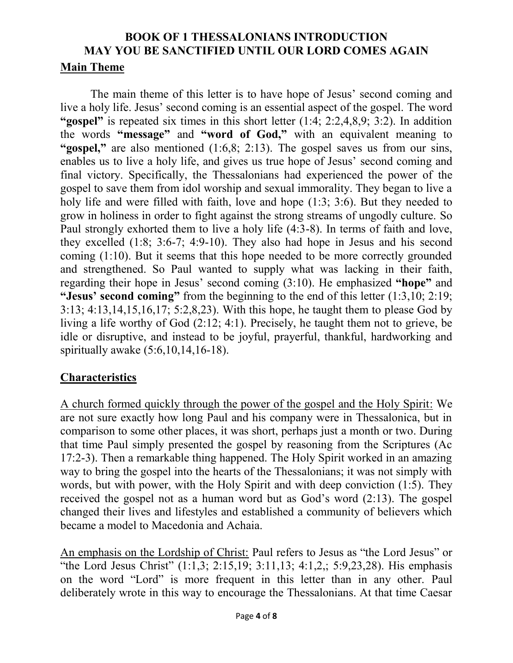The main theme of this letter is to have hope of Jesus' second coming and live a holy life. Jesus' second coming is an essential aspect of the gospel. The word **"gospel"** is repeated six times in this short letter (1:4; 2:2,4,8,9; 3:2). In addition the words **"message"** and **"word of God,"** with an equivalent meaning to "gospel," are also mentioned (1:6,8; 2:13). The gospel saves us from our sins, enables us to live a holy life, and gives us true hope of Jesus' second coming and final victory. Specifically, the Thessalonians had experienced the power of the gospel to save them from idol worship and sexual immorality. They began to live a holy life and were filled with faith, love and hope (1:3; 3:6). But they needed to grow in holiness in order to fight against the strong streams of ungodly culture. So Paul strongly exhorted them to live a holy life (4:3-8). In terms of faith and love, they excelled (1:8; 3:6-7; 4:9-10). They also had hope in Jesus and his second coming (1:10). But it seems that this hope needed to be more correctly grounded and strengthened. So Paul wanted to supply what was lacking in their faith, regarding their hope in Jesus' second coming (3:10). He emphasized **"hope"** and **"Jesus' second coming"** from the beginning to the end of this letter (1:3,10; 2:19; 3:13; 4:13,14,15,16,17; 5:2,8,23). With this hope, he taught them to please God by living a life worthy of God (2:12; 4:1). Precisely, he taught them not to grieve, be idle or disruptive, and instead to be joyful, prayerful, thankful, hardworking and spiritually awake (5:6,10,14,16-18).

# **Characteristics**

A church formed quickly through the power of the gospel and the Holy Spirit: We are not sure exactly how long Paul and his company were in Thessalonica, but in comparison to some other places, it was short, perhaps just a month or two. During that time Paul simply presented the gospel by reasoning from the Scriptures (Ac 17:2-3). Then a remarkable thing happened. The Holy Spirit worked in an amazing way to bring the gospel into the hearts of the Thessalonians; it was not simply with words, but with power, with the Holy Spirit and with deep conviction (1:5). They received the gospel not as a human word but as God's word (2:13). The gospel changed their lives and lifestyles and established a community of believers which became a model to Macedonia and Achaia.

An emphasis on the Lordship of Christ: Paul refers to Jesus as "the Lord Jesus" or "the Lord Jesus Christ" (1:1,3; 2:15,19; 3:11,13; 4:1,2,; 5:9,23,28). His emphasis on the word "Lord" is more frequent in this letter than in any other. Paul deliberately wrote in this way to encourage the Thessalonians. At that time Caesar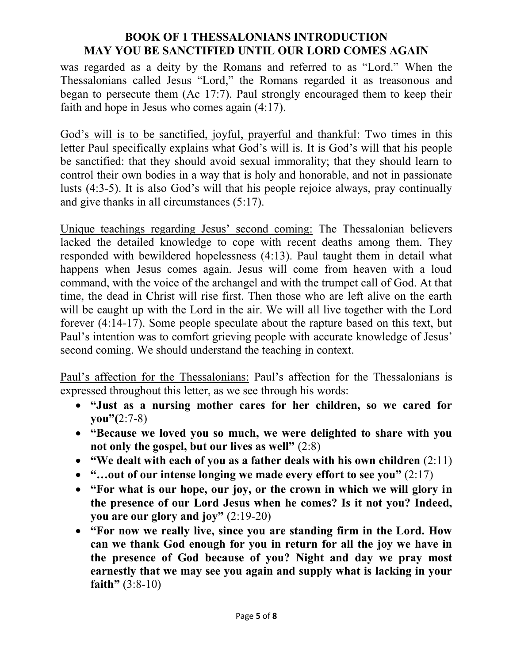was regarded as a deity by the Romans and referred to as "Lord." When the Thessalonians called Jesus "Lord," the Romans regarded it as treasonous and began to persecute them (Ac 17:7). Paul strongly encouraged them to keep their faith and hope in Jesus who comes again (4:17).

God's will is to be sanctified, joyful, prayerful and thankful: Two times in this letter Paul specifically explains what God's will is. It is God's will that his people be sanctified: that they should avoid sexual immorality; that they should learn to control their own bodies in a way that is holy and honorable, and not in passionate lusts (4:3-5). It is also God's will that his people rejoice always, pray continually and give thanks in all circumstances (5:17).

Unique teachings regarding Jesus' second coming: The Thessalonian believers lacked the detailed knowledge to cope with recent deaths among them. They responded with bewildered hopelessness (4:13). Paul taught them in detail what happens when Jesus comes again. Jesus will come from heaven with a loud command, with the voice of the archangel and with the trumpet call of God. At that time, the dead in Christ will rise first. Then those who are left alive on the earth will be caught up with the Lord in the air. We will all live together with the Lord forever (4:14-17). Some people speculate about the rapture based on this text, but Paul's intention was to comfort grieving people with accurate knowledge of Jesus' second coming. We should understand the teaching in context.

Paul's affection for the Thessalonians: Paul's affection for the Thessalonians is expressed throughout this letter, as we see through his words:

- **"Just as a nursing mother cares for her children, so we cared for you"(**2:7-8)
- **"Because we loved you so much, we were delighted to share with you not only the gospel, but our lives as well"** (2:8)
- **"We dealt with each of you as a father deals with his own children** (2:11)
- **"…out of our intense longing we made every effort to see you"** (2:17)
- **"For what is our hope, our joy, or the crown in which we will glory in the presence of our Lord Jesus when he comes? Is it not you? Indeed, you are our glory and joy"** (2:19-20)
- **"For now we really live, since you are standing firm in the Lord. How can we thank God enough for you in return for all the joy we have in the presence of God because of you? Night and day we pray most earnestly that we may see you again and supply what is lacking in your faith"** (3:8-10)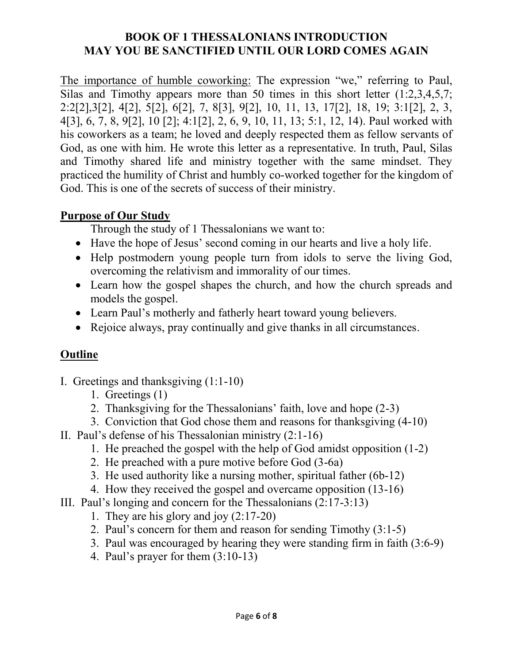The importance of humble coworking: The expression "we," referring to Paul, Silas and Timothy appears more than 50 times in this short letter (1:2,3,4,5,7; 2:2[2],3[2], 4[2], 5[2], 6[2], 7, 8[3], 9[2], 10, 11, 13, 17[2], 18, 19; 3:1[2], 2, 3, 4[3], 6, 7, 8, 9[2], 10 [2]; 4:1[2], 2, 6, 9, 10, 11, 13; 5:1, 12, 14). Paul worked with his coworkers as a team; he loved and deeply respected them as fellow servants of God, as one with him. He wrote this letter as a representative. In truth, Paul, Silas and Timothy shared life and ministry together with the same mindset. They practiced the humility of Christ and humbly co-worked together for the kingdom of God. This is one of the secrets of success of their ministry.

### **Purpose of Our Study**

Through the study of 1 Thessalonians we want to:

- Have the hope of Jesus' second coming in our hearts and live a holy life.
- Help postmodern young people turn from idols to serve the living God, overcoming the relativism and immorality of our times.
- Learn how the gospel shapes the church, and how the church spreads and models the gospel.
- Learn Paul's motherly and fatherly heart toward young believers.
- Rejoice always, pray continually and give thanks in all circumstances.

# **Outline**

- I. Greetings and thanksgiving (1:1-10)
	- 1. Greetings (1)
	- 2. Thanksgiving for the Thessalonians' faith, love and hope (2-3)
	- 3. Conviction that God chose them and reasons for thanksgiving (4-10)
- II. Paul's defense of his Thessalonian ministry (2:1-16)
	- 1. He preached the gospel with the help of God amidst opposition (1-2)
	- 2. He preached with a pure motive before God (3-6a)
	- 3. He used authority like a nursing mother, spiritual father (6b-12)
	- 4. How they received the gospel and overcame opposition (13-16)
- III. Paul's longing and concern for the Thessalonians (2:17-3:13)
	- 1. They are his glory and joy (2:17-20)
	- 2. Paul's concern for them and reason for sending Timothy (3:1-5)
	- 3. Paul was encouraged by hearing they were standing firm in faith (3:6-9)
	- 4. Paul's prayer for them (3:10-13)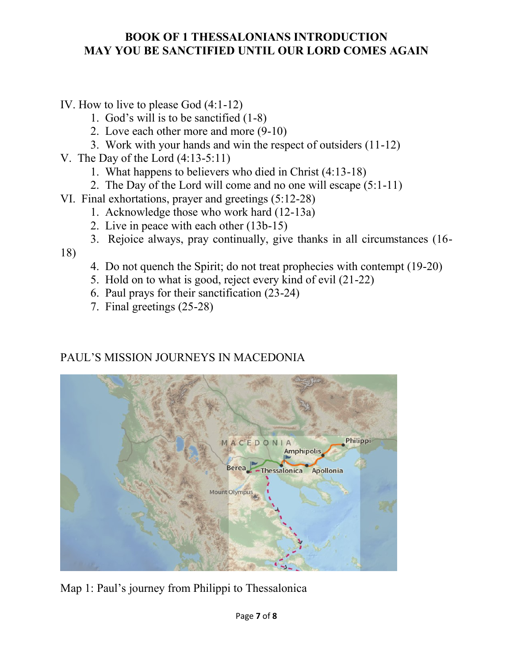IV. How to live to please God (4:1-12)

- 1. God's will is to be sanctified (1-8)
- 2. Love each other more and more (9-10)
- 3. Work with your hands and win the respect of outsiders (11-12)
- V. The Day of the Lord (4:13-5:11)
	- 1. What happens to believers who died in Christ (4:13-18)
	- 2. The Day of the Lord will come and no one will escape (5:1-11)
- VI. Final exhortations, prayer and greetings (5:12-28)
	- 1. Acknowledge those who work hard (12-13a)
	- 2. Live in peace with each other (13b-15)
	- 3. Rejoice always, pray continually, give thanks in all circumstances (16-

18)

- 4. Do not quench the Spirit; do not treat prophecies with contempt (19-20)
- 5. Hold on to what is good, reject every kind of evil (21-22)
- 6. Paul prays for their sanctification (23-24)
- 7. Final greetings (25-28)

# PAUL'S MISSION JOURNEYS IN MACEDONIA



Map 1: Paul's journey from Philippi to Thessalonica